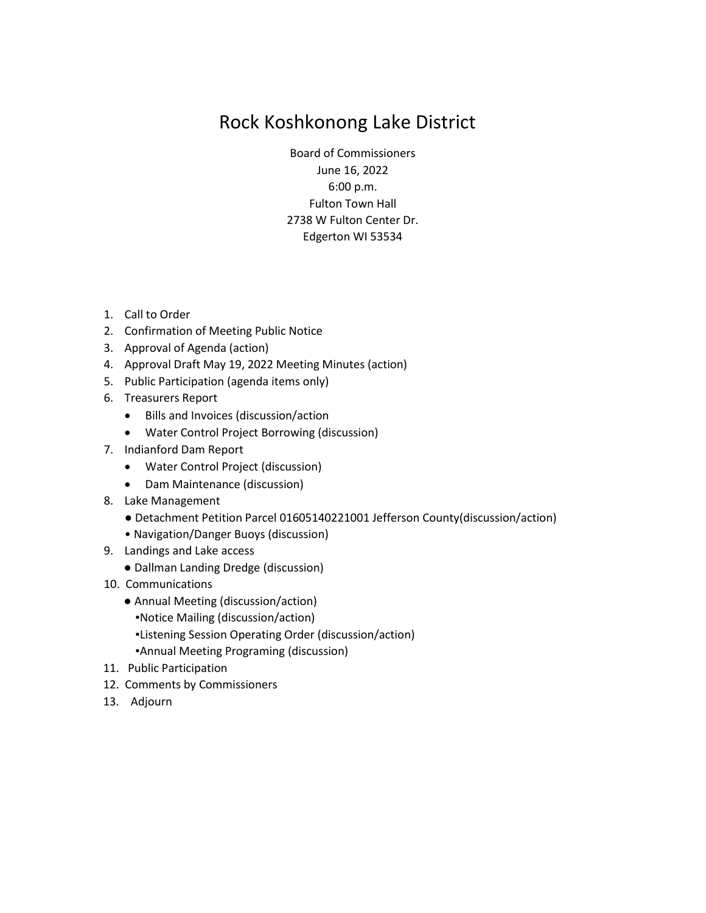# Rock Koshkonong Lake District

Board of Commissioners June 16, 2022 6:00 p.m. Fulton Town Hall 2738 W Fulton Center Dr. Edgerton WI 53534

- 1. Call to Order
- 2. Confirmation of Meeting Public Notice
- 3. Approval of Agenda (action)
- 4. Approval Draft May 19, 2022 Meeting Minutes (action)
- 5. Public Participation (agenda items only)
- 6. Treasurers Report
	- Bills and Invoices (discussion/action
	- Water Control Project Borrowing (discussion)
- 7. Indianford Dam Report
	- Water Control Project (discussion)
	- Dam Maintenance (discussion)
- 8. Lake Management
	- Detachment Petition Parcel 01605140221001 Jefferson County(discussion/action)
	- Navigation/Danger Buoys (discussion)
- 9. Landings and Lake access
	- Dallman Landing Dredge (discussion)
- 10. Communications
	- Annual Meeting (discussion/action)
		- ▪Notice Mailing (discussion/action)
		- ▪Listening Session Operating Order (discussion/action)
		- ▪Annual Meeting Programing (discussion)
- 11. Public Participation
- 12. Comments by Commissioners
- 13. Adjourn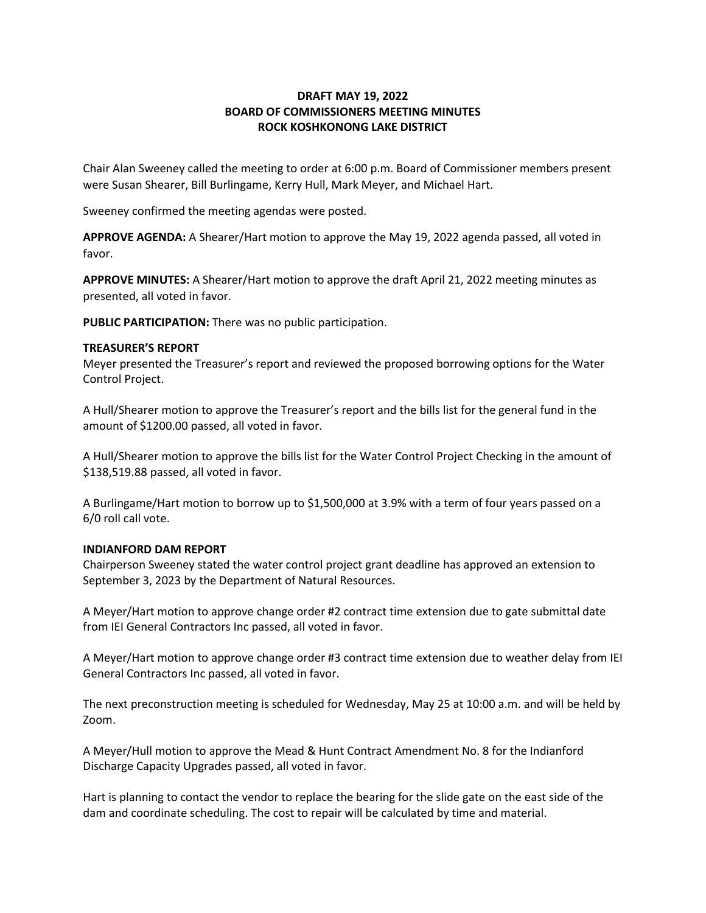# **DRAFT MAY 19, 2022 BOARD OF COMMISSIONERS MEETING MINUTES ROCK KOSHKONONG LAKE DISTRICT**

Chair Alan Sweeney called the meeting to order at 6:00 p.m. Board of Commissioner members present were Susan Shearer, Bill Burlingame, Kerry Hull, Mark Meyer, and Michael Hart.

Sweeney confirmed the meeting agendas were posted.

**APPROVE AGENDA:** A Shearer/Hart motion to approve the May 19, 2022 agenda passed, all voted in favor.

**APPROVE MINUTES:** A Shearer/Hart motion to approve the draft April 21, 2022 meeting minutes as presented, all voted in favor.

**PUBLIC PARTICIPATION:** There was no public participation.

# **TREASURER'S REPORT**

Meyer presented the Treasurer's report and reviewed the proposed borrowing options for the Water Control Project.

A Hull/Shearer motion to approve the Treasurer's report and the bills list for the general fund in the amount of \$1200.00 passed, all voted in favor.

A Hull/Shearer motion to approve the bills list for the Water Control Project Checking in the amount of \$138,519.88 passed, all voted in favor.

A Burlingame/Hart motion to borrow up to \$1,500,000 at 3.9% with a term of four years passed on a 6/0 roll call vote.

#### **INDIANFORD DAM REPORT**

Chairperson Sweeney stated the water control project grant deadline has approved an extension to September 3, 2023 by the Department of Natural Resources.

A Meyer/Hart motion to approve change order #2 contract time extension due to gate submittal date from IEI General Contractors Inc passed, all voted in favor.

A Meyer/Hart motion to approve change order #3 contract time extension due to weather delay from IEI General Contractors Inc passed, all voted in favor.

The next preconstruction meeting is scheduled for Wednesday, May 25 at 10:00 a.m. and will be held by Zoom.

A Meyer/Hull motion to approve the Mead & Hunt Contract Amendment No. 8 for the Indianford Discharge Capacity Upgrades passed, all voted in favor.

Hart is planning to contact the vendor to replace the bearing for the slide gate on the east side of the dam and coordinate scheduling. The cost to repair will be calculated by time and material.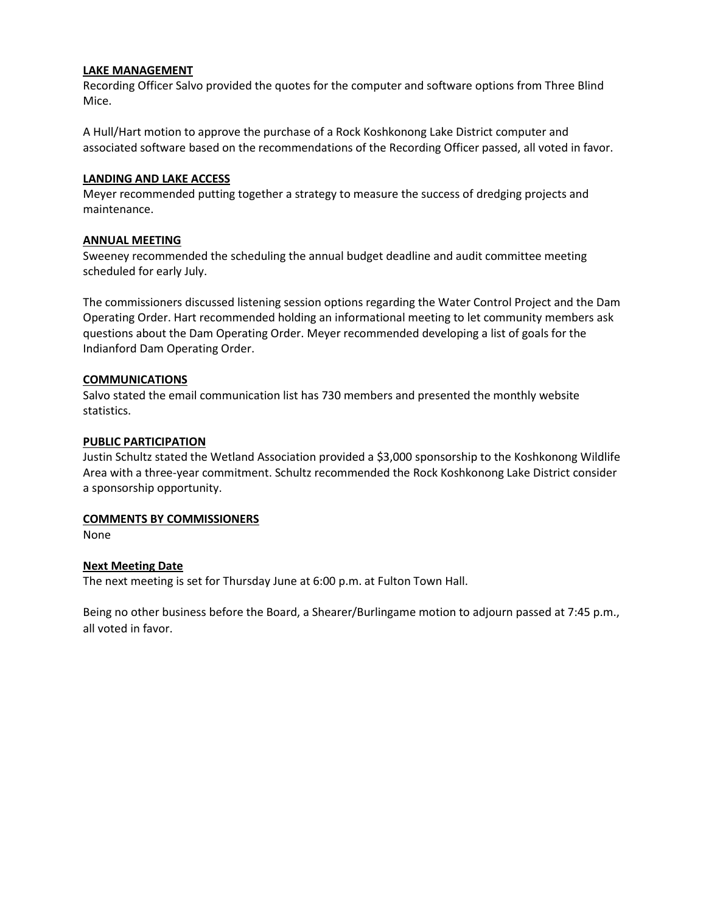## **LAKE MANAGEMENT**

Recording Officer Salvo provided the quotes for the computer and software options from Three Blind Mice.

A Hull/Hart motion to approve the purchase of a Rock Koshkonong Lake District computer and associated software based on the recommendations of the Recording Officer passed, all voted in favor.

## **LANDING AND LAKE ACCESS**

Meyer recommended putting together a strategy to measure the success of dredging projects and maintenance.

## **ANNUAL MEETING**

Sweeney recommended the scheduling the annual budget deadline and audit committee meeting scheduled for early July.

The commissioners discussed listening session options regarding the Water Control Project and the Dam Operating Order. Hart recommended holding an informational meeting to let community members ask questions about the Dam Operating Order. Meyer recommended developing a list of goals for the Indianford Dam Operating Order.

# **COMMUNICATIONS**

Salvo stated the email communication list has 730 members and presented the monthly website statistics.

## **PUBLIC PARTICIPATION**

Justin Schultz stated the Wetland Association provided a \$3,000 sponsorship to the Koshkonong Wildlife Area with a three-year commitment. Schultz recommended the Rock Koshkonong Lake District consider a sponsorship opportunity.

#### **COMMENTS BY COMMISSIONERS**

None

# **Next Meeting Date**

The next meeting is set for Thursday June at 6:00 p.m. at Fulton Town Hall.

Being no other business before the Board, a Shearer/Burlingame motion to adjourn passed at 7:45 p.m., all voted in favor.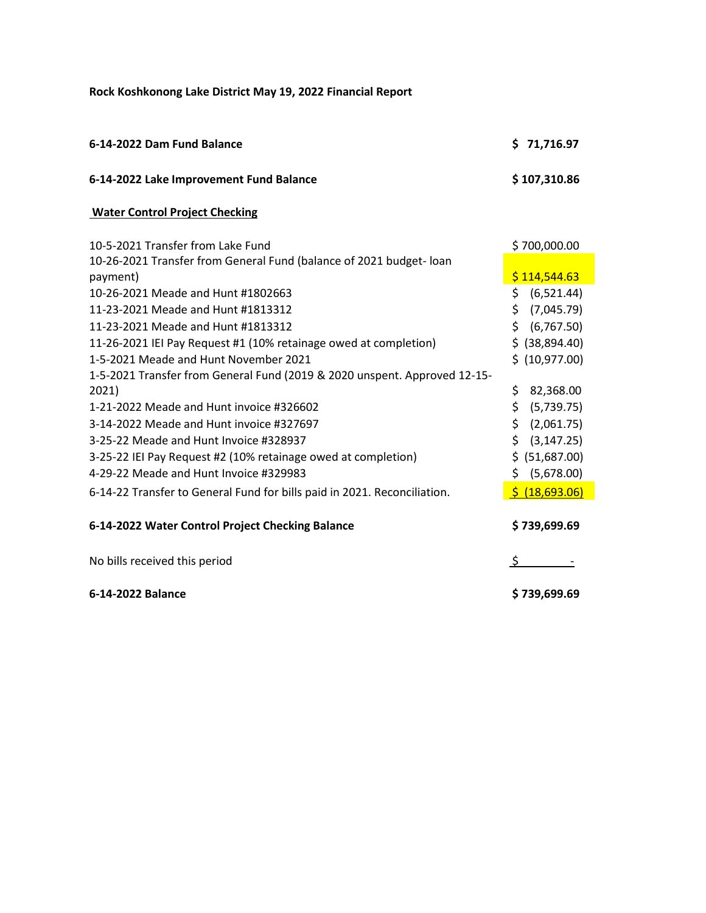**Rock Koshkonong Lake District May 19, 2022 Financial Report**

| 6-14-2022 Dam Fund Balance                                                      | \$71,716.97       |
|---------------------------------------------------------------------------------|-------------------|
| 6-14-2022 Lake Improvement Fund Balance                                         | \$107,310.86      |
| <b>Water Control Project Checking</b>                                           |                   |
| 10-5-2021 Transfer from Lake Fund                                               | \$700,000.00      |
| 10-26-2021 Transfer from General Fund (balance of 2021 budget- loan<br>payment) | \$114,544.63      |
| 10-26-2021 Meade and Hunt #1802663                                              | \$ (6,521.44)     |
| 11-23-2021 Meade and Hunt #1813312                                              | \$<br>(7,045.79)  |
| 11-23-2021 Meade and Hunt #1813312                                              | \$ (6,767.50)     |
| 11-26-2021 IEI Pay Request #1 (10% retainage owed at completion)                | $$$ (38,894.40)   |
| 1-5-2021 Meade and Hunt November 2021                                           | \$ (10,977.00)    |
| 1-5-2021 Transfer from General Fund (2019 & 2020 unspent. Approved 12-15-       |                   |
| 2021)                                                                           | \$<br>82,368.00   |
| 1-21-2022 Meade and Hunt invoice #326602                                        | \$.<br>(5,739.75) |
| 3-14-2022 Meade and Hunt invoice #327697                                        | \$.<br>(2,061.75) |
| 3-25-22 Meade and Hunt Invoice #328937                                          | \$ (3, 147.25)    |
| 3-25-22 IEI Pay Request #2 (10% retainage owed at completion)                   | \$ (51,687.00)    |
| 4-29-22 Meade and Hunt Invoice #329983                                          | \$ (5,678.00)     |
| 6-14-22 Transfer to General Fund for bills paid in 2021. Reconciliation.        | \$ (18,693.06)    |
| 6-14-2022 Water Control Project Checking Balance                                | \$739,699.69      |
| No bills received this period                                                   | \$                |
| 6-14-2022 Balance                                                               | \$739,699.69      |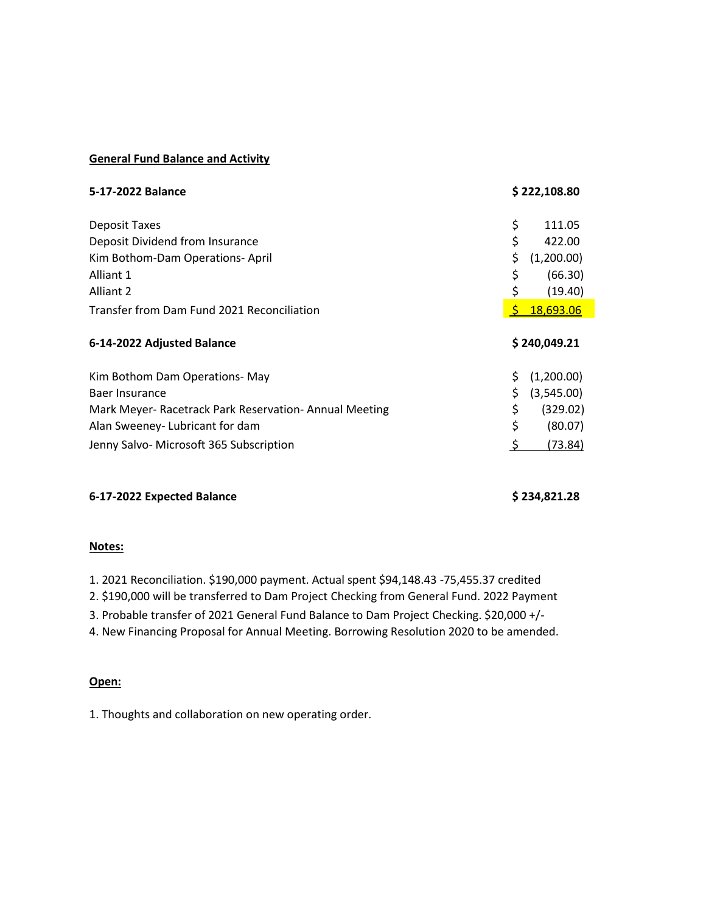## **General Fund Balance and Activity**

| 5-17-2022 Balance                                      |              | \$222,108.80     |
|--------------------------------------------------------|--------------|------------------|
| Deposit Taxes                                          | \$           | 111.05           |
| Deposit Dividend from Insurance                        | \$           | 422.00           |
| Kim Bothom-Dam Operations-April                        | \$           | (1,200.00)       |
| Alliant 1                                              | \$           | (66.30)          |
| Alliant 2                                              | \$           | (19.40)          |
| Transfer from Dam Fund 2021 Reconciliation             | S            | <b>18,693.06</b> |
| 6-14-2022 Adjusted Balance                             | \$240,049.21 |                  |
|                                                        |              |                  |
| Kim Bothom Dam Operations- May                         | \$           | (1,200.00)       |
| Baer Insurance                                         | \$           | (3,545.00)       |
| Mark Meyer- Racetrack Park Reservation- Annual Meeting | \$           | (329.02)         |
| Alan Sweeney-Lubricant for dam                         | \$           | (80.07)          |

# **6-17-2022 Expected Balance \$ 234,821.28**

#### **Notes:**

1. 2021 Reconciliation. \$190,000 payment. Actual spent \$94,148.43 -75,455.37 credited

2. \$190,000 will be transferred to Dam Project Checking from General Fund. 2022 Payment

3. Probable transfer of 2021 General Fund Balance to Dam Project Checking. \$20,000 +/-

4. New Financing Proposal for Annual Meeting. Borrowing Resolution 2020 to be amended.

#### **Open:**

1. Thoughts and collaboration on new operating order.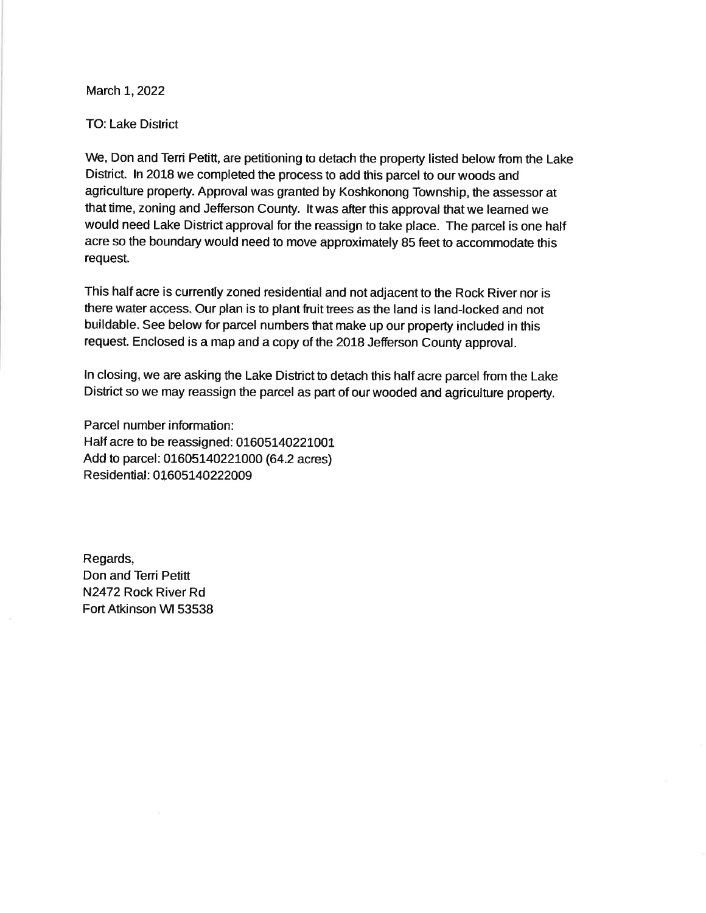March 1, 2022

#### **TO: Lake District**

We, Don and Terri Petitt, are petitioning to detach the property listed below from the Lake District. In 2018 we completed the process to add this parcel to our woods and agriculture property. Approval was granted by Koshkonong Township, the assessor at that time, zoning and Jefferson County. It was after this approval that we learned we would need Lake District approval for the reassign to take place. The parcel is one half acre so the boundary would need to move approximately 85 feet to accommodate this request.

This half acre is currently zoned residential and not adjacent to the Rock River nor is there water access. Our plan is to plant fruit trees as the land is land-locked and not buildable. See below for parcel numbers that make up our property included in this request. Enclosed is a map and a copy of the 2018 Jefferson County approval.

In closing, we are asking the Lake District to detach this half acre parcel from the Lake District so we may reassign the parcel as part of our wooded and agriculture property.

Parcel number information: Half acre to be reassigned: 01605140221001 Add to parcel: 01605140221000 (64.2 acres) Residential: 01605140222009

Regards, Don and Terri Petitt N2472 Rock River Rd Fort Atkinson WI 53538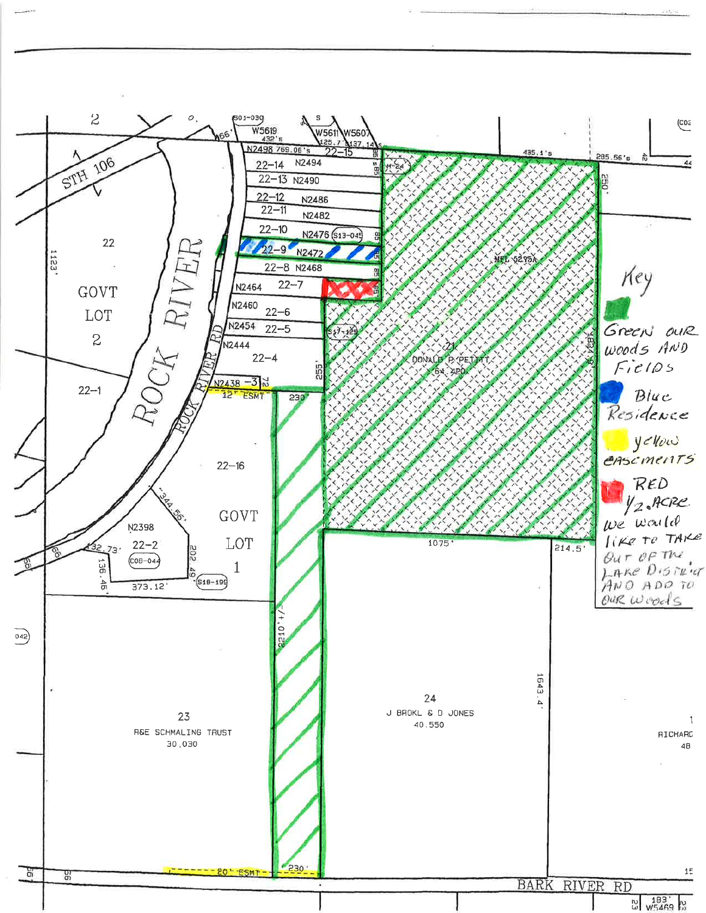